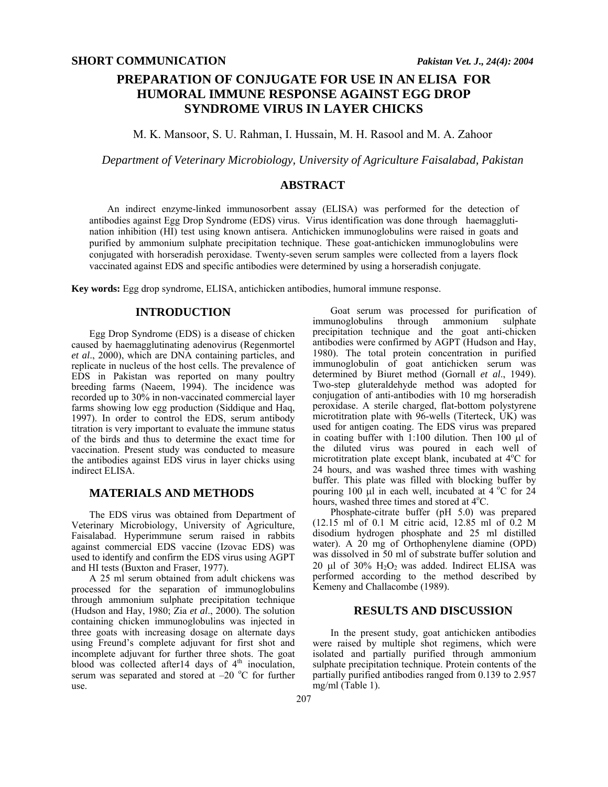# **PREPARATION OF CONJUGATE FOR USE IN AN ELISA FOR HUMORAL IMMUNE RESPONSE AGAINST EGG DROP SYNDROME VIRUS IN LAYER CHICKS**

M. K. Mansoor, S. U. Rahman, I. Hussain, M. H. Rasool and M. A. Zahoor

*Department of Veterinary Microbiology, University of Agriculture Faisalabad, Pakistan* 

### **ABSTRACT**

An indirect enzyme-linked immunosorbent assay (ELISA) was performed for the detection of antibodies against Egg Drop Syndrome (EDS) virus. Virus identification was done through haemagglutination inhibition (HI) test using known antisera. Antichicken immunoglobulins were raised in goats and purified by ammonium sulphate precipitation technique. These goat-antichicken immunoglobulins were conjugated with horseradish peroxidase. Twenty-seven serum samples were collected from a layers flock vaccinated against EDS and specific antibodies were determined by using a horseradish conjugate.

**Key words:** Egg drop syndrome, ELISA, antichicken antibodies, humoral immune response.

# **INTRODUCTION**

Egg Drop Syndrome (EDS) is a disease of chicken caused by haemagglutinating adenovirus (Regenmortel *et al*., 2000), which are DNA containing particles, and replicate in nucleus of the host cells. The prevalence of EDS in Pakistan was reported on many poultry breeding farms (Naeem, 1994). The incidence was recorded up to 30% in non-vaccinated commercial layer farms showing low egg production (Siddique and Haq, 1997). In order to control the EDS, serum antibody titration is very important to evaluate the immune status of the birds and thus to determine the exact time for vaccination. Present study was conducted to measure the antibodies against EDS virus in layer chicks using indirect ELISA.

## **MATERIALS AND METHODS**

The EDS virus was obtained from Department of Veterinary Microbiology, University of Agriculture, Faisalabad. Hyperimmune serum raised in rabbits against commercial EDS vaccine (Izovac EDS) was used to identify and confirm the EDS virus using AGPT and HI tests (Buxton and Fraser, 1977).

A 25 ml serum obtained from adult chickens was processed for the separation of immunoglobulins through ammonium sulphate precipitation technique (Hudson and Hay, 1980; Zia *et al*., 2000). The solution containing chicken immunoglobulins was injected in three goats with increasing dosage on alternate days using Freund's complete adjuvant for first shot and incomplete adjuvant for further three shots. The goat blood was collected after 14 days of  $4<sup>th</sup>$  inoculation, serum was separated and stored at  $-20$  °C for further use.

Goat serum was processed for purification of immunoglobulins through ammonium sulphate ammonium sulphate precipitation technique and the goat anti-chicken antibodies were confirmed by AGPT (Hudson and Hay, 1980). The total protein concentration in purified immunoglobulin of goat antichicken serum was determined by Biuret method (Gornall *et al*., 1949). Two-step gluteraldehyde method was adopted for conjugation of anti-antibodies with 10 mg horseradish peroxidase. A sterile charged, flat-bottom polystyrene microtitration plate with 96-wells (Titerteck, UK) was used for antigen coating. The EDS virus was prepared in coating buffer with  $1:100$  dilution. Then 100  $\mu$ l of the diluted virus was poured in each well of microtitration plate except blank, incubated at 4°C for 24 hours, and was washed three times with washing buffer. This plate was filled with blocking buffer by pouring 100  $\mu$ l in each well, incubated at 4 °C for 24 hours, washed three times and stored at 4<sup>o</sup>C.

Phosphate-citrate buffer (pH 5.0) was prepared (12.15 ml of 0.1 M citric acid, 12.85 ml of 0.2 M disodium hydrogen phosphate and 25 ml distilled water). A 20 mg of Orthophenylene diamine (OPD) was dissolved in 50 ml of substrate buffer solution and 20  $\mu$ l of 30% H<sub>2</sub>O<sub>2</sub> was added. Indirect ELISA was performed according to the method described by Kemeny and Challacombe (1989).

#### **RESULTS AND DISCUSSION**

In the present study, goat antichicken antibodies were raised by multiple shot regimens, which were isolated and partially purified through ammonium sulphate precipitation technique. Protein contents of the partially purified antibodies ranged from 0.139 to 2.957 mg/ml (Table 1).